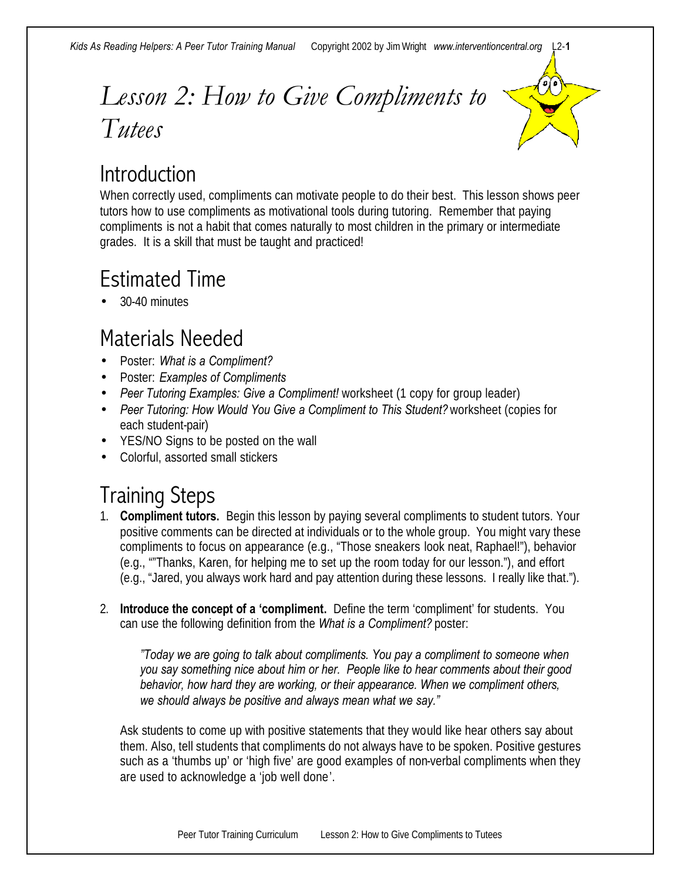### *Lesson 2: How to Give Compliments to Tutees*



#### **Introduction**

When correctly used, compliments can motivate people to do their best. This lesson shows peer tutors how to use compliments as motivational tools during tutoring. Remember that paying compliments is not a habit that comes naturally to most children in the primary or intermediate grades. It is a skill that must be taught and practiced!

### Estimated Time

• 30-40 minutes

#### Materials Needed

- Poster: *What is a Compliment?*
- Poster: *Examples of Compliments*
- *Peer Tutoring Examples: Give a Compliment!* worksheet (1 copy for group leader)
- *Peer Tutoring: How Would You Give a Compliment to This Student?* worksheet (copies for each student-pair)
- YES/NO Signs to be posted on the wall
- Colorful, assorted small stickers

#### Training Steps

- 1. **Compliment tutors.** Begin this lesson by paying several compliments to student tutors. Your positive comments can be directed at individuals or to the whole group. You might vary these compliments to focus on appearance (e.g., "Those sneakers look neat, Raphael!"), behavior (e.g., ""Thanks, Karen, for helping me to set up the room today for our lesson."), and effort (e.g., "Jared, you always work hard and pay attention during these lessons. I really like that.").
- 2. **Introduce the concept of a 'compliment.** Define the term 'compliment' for students. You can use the following definition from the *What is a Compliment?* poster:

*"Today we are going to talk about compliments. You pay a compliment to someone when you say something nice about him or her. People like to hear comments about their good behavior, how hard they are working, or their appearance. When we compliment others, we should always be positive and always mean what we say."*

Ask students to come up with positive statements that they would like hear others say about them. Also, tell students that compliments do not always have to be spoken. Positive gestures such as a 'thumbs up' or 'high five' are good examples of non-verbal compliments when they are used to acknowledge a 'job well done'.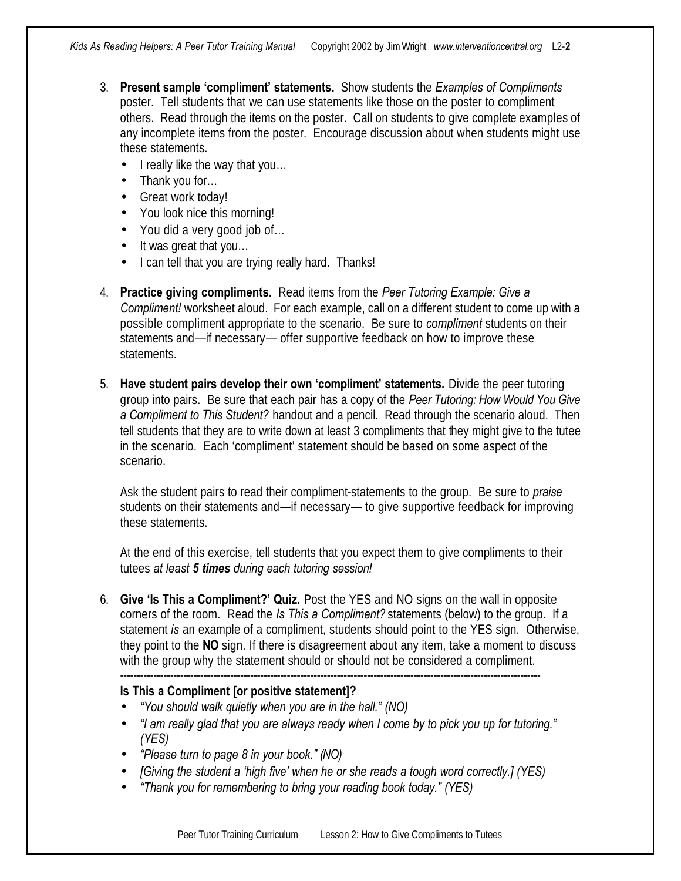- 3. **Present sample 'compliment' statements.** Show students the *Examples of Compliments* poster. Tell students that we can use statements like those on the poster to compliment others. Read through the items on the poster. Call on students to give complete examples of any incomplete items from the poster. Encourage discussion about when students might use these statements.
	- I really like the way that you...
	- Thank you for...
	- Great work today!
	- You look nice this morning!
	- You did a very good job of...
	- It was great that you...
	- I can tell that you are trying really hard. Thanks!
- 4. **Practice giving compliments.** Read items from the *Peer Tutoring Example: Give a Compliment!* worksheet aloud. For each example, call on a different student to come up with a possible compliment appropriate to the scenario. Be sure to *compliment* students on their statements and—if necessary— offer supportive feedback on how to improve these statements.
- 5. **Have student pairs develop their own 'compliment' statements.** Divide the peer tutoring group into pairs. Be sure that each pair has a copy of the *Peer Tutoring: How Would You Give a Compliment to This Student?* handout and a pencil. Read through the scenario aloud. Then tell students that they are to write down at least 3 compliments that they might give to the tutee in the scenario. Each 'compliment' statement should be based on some aspect of the scenario.

Ask the student pairs to read their compliment-statements to the group. Be sure to *praise*  students on their statements and—if necessary— to give supportive feedback for improving these statements.

At the end of this exercise, tell students that you expect them to give compliments to their tutees *at least 5 times during each tutoring session!*

6. **Give 'Is This a Compliment?' Quiz.** Post the YES and NO signs on the wall in opposite corners of the room. Read the *Is This a Compliment?* statements (below) to the group. If a statement *is* an example of a compliment, students should point to the YES sign. Otherwise, they point to the **NO** sign. If there is disagreement about any item, take a moment to discuss with the group why the statement should or should not be considered a compliment. ------------------------------------------------------------------------------------------------------------------------------

#### **Is This a Compliment [or positive statement]?**

- *"You should walk quietly when you are in the hall." (NO)*
- *"I am really glad that you are always ready when I come by to pick you up for tutoring." (YES)*
- *"Please turn to page 8 in your book." (NO)*
- *[Giving the student a 'high five' when he or she reads a tough word correctly.] (YES)*
- *"Thank you for remembering to bring your reading book today." (YES)*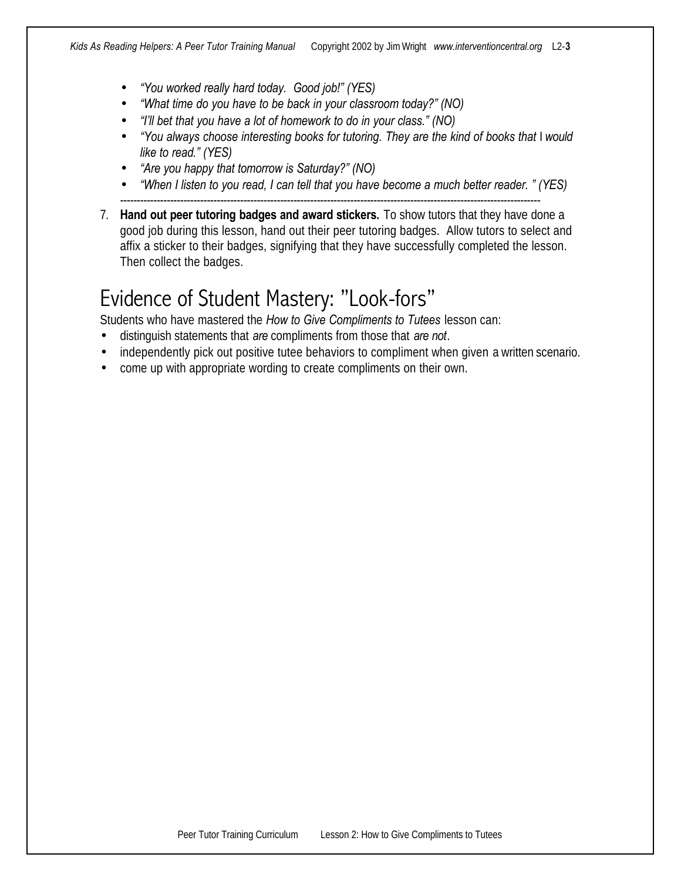- *"You worked really hard today. Good job!" (YES)*
- *"What time do you have to be back in your classroom today?" (NO)*
- *"I'll bet that you have a lot of homework to do in your class." (NO)*
- *"You always choose interesting books for tutoring. They are the kind of books that I would like to read." (YES)*
- *"Are you happy that tomorrow is Saturday?" (NO)*
- *"When I listen to you read, I can tell that you have become a much better reader. " (YES)*
- ------------------------------------------------------------------------------------------------------------------------------ 7. **Hand out peer tutoring badges and award stickers.** To show tutors that they have done a good job during this lesson, hand out their peer tutoring badges. Allow tutors to select and affix a sticker to their badges, signifying that they have successfully completed the lesson. Then collect the badges.

#### Evidence of Student Mastery: "Look-fors"

Students who have mastered the *How to Give Compliments to Tutees* lesson can:

- distinguish statements that *are* compliments from those that *are not*.
- independently pick out positive tutee behaviors to compliment when given a written scenario.
- come up with appropriate wording to create compliments on their own.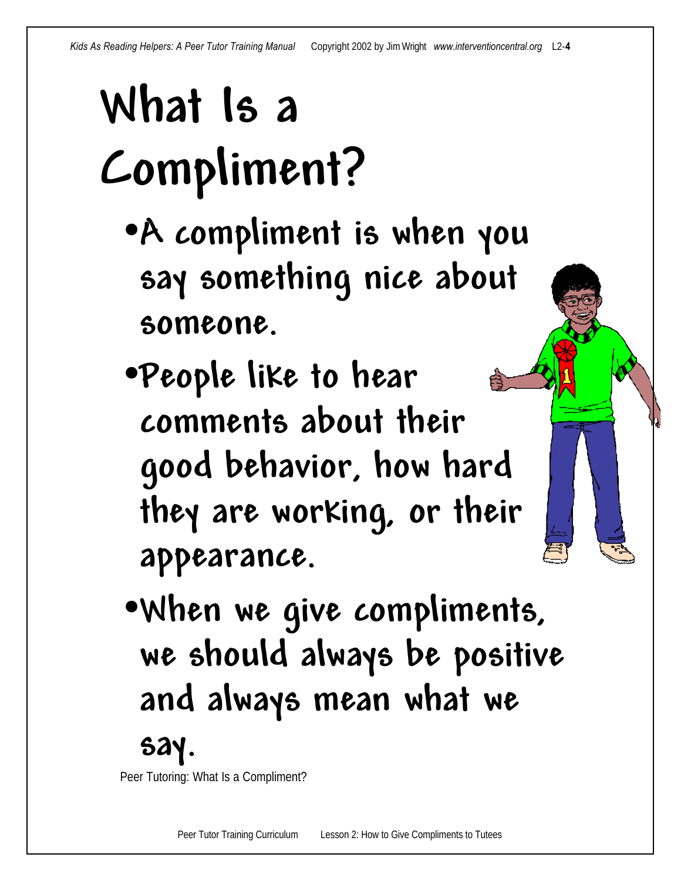# **What Is a Compliment?**

- •**A compliment is when you say something nice about someone.**
- •**People like to hear comments about their good behavior, how hard they are working, or their appearance.**
- •**When we give compliments, we should always be positive and always mean what we**

Peer Tutoring: What Is a Compliment?

**say.**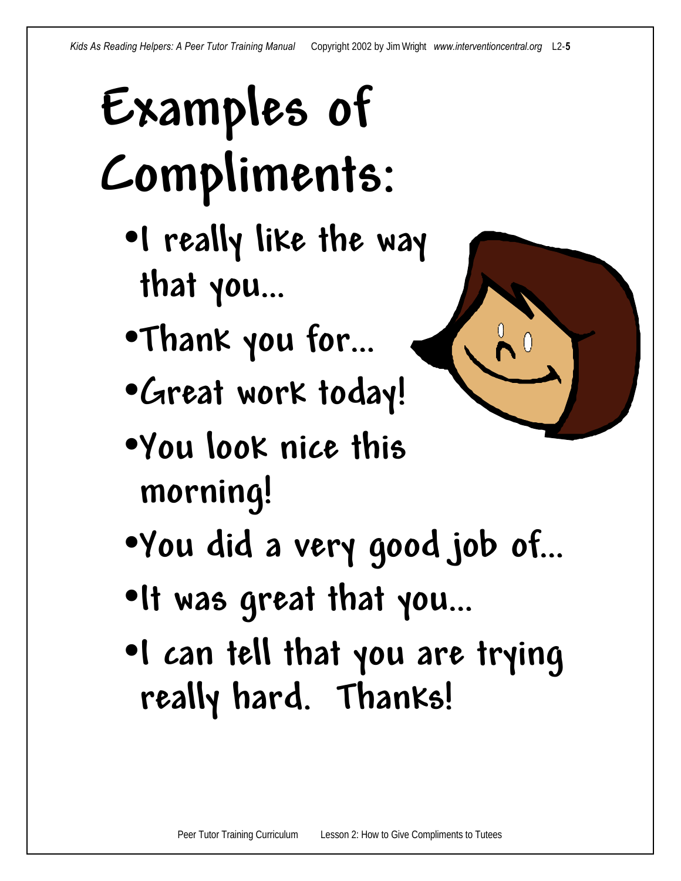# **Examples of Compliments:**

- •**I really like the way that you…**
- •**Thank you for…**
- •**Great work today!**
- •**You look nice this morning!**
- •**You did a very good job of…**
- •**It was great that you…**
- •**I can tell that you are trying really hard. Thanks!**

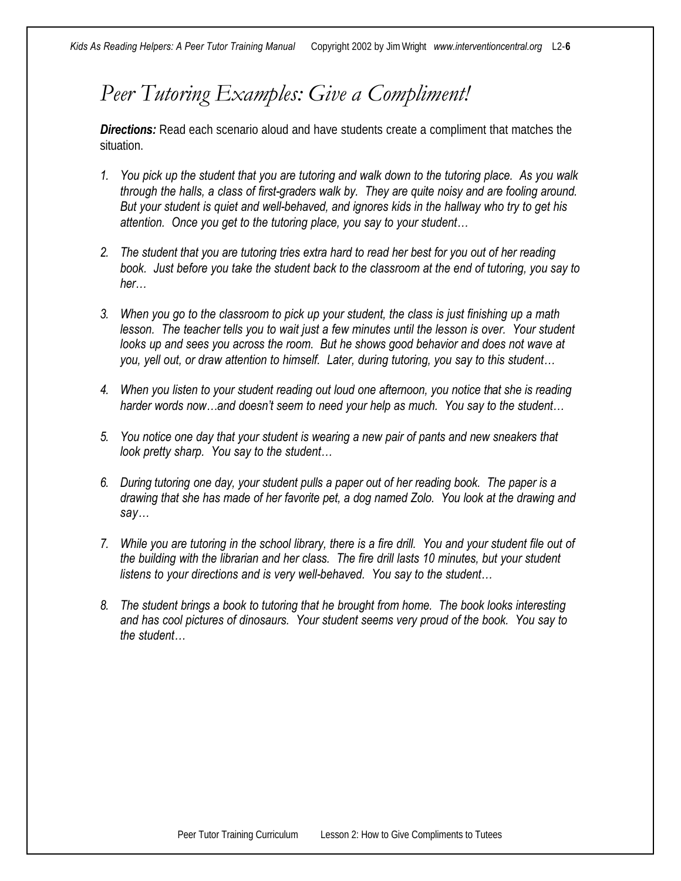#### *Peer Tutoring Examples: Give a Compliment!*

**Directions:** Read each scenario aloud and have students create a compliment that matches the situation.

- *1. You pick up the student that you are tutoring and walk down to the tutoring place. As you walk through the halls, a class of first-graders walk by. They are quite noisy and are fooling around. But your student is quiet and well-behaved, and ignores kids in the hallway who try to get his attention. Once you get to the tutoring place, you say to your student…*
- *2. The student that you are tutoring tries extra hard to read her best for you out of her reading book. Just before you take the student back to the classroom at the end of tutoring, you say to her…*
- *3. When you go to the classroom to pick up your student, the class is just finishing up a math lesson.* The teacher tells you to wait just a few minutes until the lesson is over. Your student *looks up and sees you across the room.* But he shows good behavior and does not wave at *you, yell out, or draw attention to himself. Later, during tutoring, you say to this student…*
- *4. When you listen to your student reading out loud one afternoon, you notice that she is reading harder words now…and doesn't seem to need your help as much. You say to the student…*
- *5. You notice one day that your student is wearing a new pair of pants and new sneakers that look pretty sharp. You say to the student…*
- *6. During tutoring one day, your student pulls a paper out of her reading book. The paper is a drawing that she has made of her favorite pet, a dog named Zolo. You look at the drawing and say…*
- *7. While you are tutoring in the school library, there is a fire drill. You and your student file out of the building with the librarian and her class. The fire drill lasts 10 minutes, but your student listens to your directions and is very well-behaved. You say to the student…*
- *8. The student brings a book to tutoring that he brought from home. The book looks interesting and has cool pictures of dinosaurs. Your student seems very proud of the book. You say to the student…*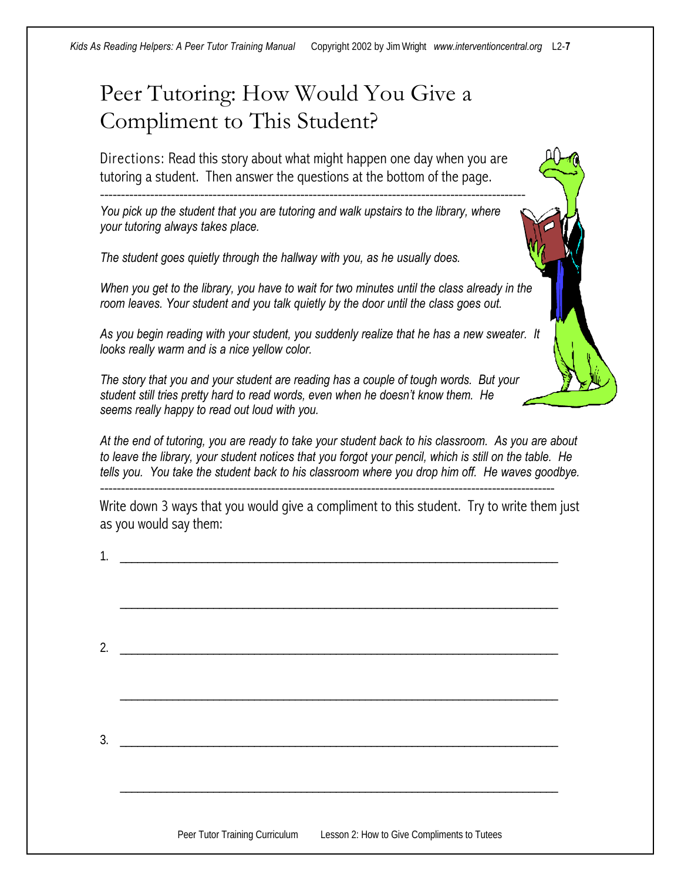#### Peer Tutoring: How Would You Give a Compliment to This Student?

Directions: Read this story about what might happen one day when you are tutoring a student. Then answer the questions at the bottom of the page.

------------------------------------------------------------------------------------------------------

*You pick up the student that you are tutoring and walk upstairs to the library, where your tutoring always takes place.* 

*The student goes quietly through the hallway with you, as he usually does.*

*When you get to the library, you have to wait for two minutes until the class already in the room leaves. Your student and you talk quietly by the door until the class goes out.*

*As you begin reading with your student, you suddenly realize that he has a new sweater. It looks really warm and is a nice yellow color.*

*The story that you and your student are reading has a couple of tough words. But your student still tries pretty hard to read words, even when he doesn't know them. He seems really happy to read out loud with you.*

*At the end of tutoring, you are ready to take your student back to his classroom. As you are about to leave the library, your student notices that you forgot your pencil, which is still on the table. He tells you. You take the student back to his classroom where you drop him off. He waves goodbye.*

Write down 3 ways that you would give a compliment to this student. Try to write them just as you would say them:

\_\_\_\_\_\_\_\_\_\_\_\_\_\_\_\_\_\_\_\_\_\_\_\_\_\_\_\_\_\_\_\_\_\_\_\_\_\_\_\_\_\_\_\_\_\_\_\_\_\_\_\_\_\_\_\_\_\_\_\_\_\_\_\_\_\_\_\_\_\_\_\_\_\_\_

-------------------------------------------------------------------------------------------------------------

1. \_\_\_\_\_\_\_\_\_\_\_\_\_\_\_\_\_\_\_\_\_\_\_\_\_\_\_\_\_\_\_\_\_\_\_\_\_\_\_\_\_\_\_\_\_\_\_\_\_\_\_\_\_\_\_\_\_\_\_\_\_\_\_\_\_\_\_\_\_\_\_\_\_\_\_

| 2. |  |  |
|----|--|--|
|    |  |  |
|    |  |  |
|    |  |  |
| 3. |  |  |
|    |  |  |

\_\_\_\_\_\_\_\_\_\_\_\_\_\_\_\_\_\_\_\_\_\_\_\_\_\_\_\_\_\_\_\_\_\_\_\_\_\_\_\_\_\_\_\_\_\_\_\_\_\_\_\_\_\_\_\_\_\_\_\_\_\_\_\_\_\_\_\_\_\_\_\_\_\_\_